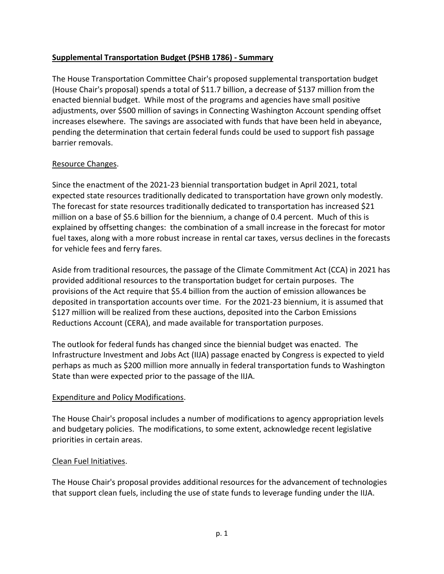#### **Supplemental Transportation Budget (PSHB 1786) - Summary**

The House Transportation Committee Chair's proposed supplemental transportation budget (House Chair's proposal) spends a total of \$11.7 billion, a decrease of \$137 million from the enacted biennial budget. While most of the programs and agencies have small positive adjustments, over \$500 million of savings in Connecting Washington Account spending offset increases elsewhere. The savings are associated with funds that have been held in abeyance, pending the determination that certain federal funds could be used to support fish passage barrier removals.

#### Resource Changes.

Since the enactment of the 2021-23 biennial transportation budget in April 2021, total expected state resources traditionally dedicated to transportation have grown only modestly. The forecast for state resources traditionally dedicated to transportation has increased \$21 million on a base of \$5.6 billion for the biennium, a change of 0.4 percent. Much of this is explained by offsetting changes: the combination of a small increase in the forecast for motor fuel taxes, along with a more robust increase in rental car taxes, versus declines in the forecasts for vehicle fees and ferry fares.

Aside from traditional resources, the passage of the Climate Commitment Act (CCA) in 2021 has provided additional resources to the transportation budget for certain purposes. The provisions of the Act require that \$5.4 billion from the auction of emission allowances be deposited in transportation accounts over time. For the 2021-23 biennium, it is assumed that \$127 million will be realized from these auctions, deposited into the Carbon Emissions Reductions Account (CERA), and made available for transportation purposes.

The outlook for federal funds has changed since the biennial budget was enacted. The Infrastructure Investment and Jobs Act (IIJA) passage enacted by Congress is expected to yield perhaps as much as \$200 million more annually in federal transportation funds to Washington State than were expected prior to the passage of the IIJA.

#### Expenditure and Policy Modifications.

The House Chair's proposal includes a number of modifications to agency appropriation levels and budgetary policies. The modifications, to some extent, acknowledge recent legislative priorities in certain areas.

#### Clean Fuel Initiatives.

The House Chair's proposal provides additional resources for the advancement of technologies that support clean fuels, including the use of state funds to leverage funding under the IIJA.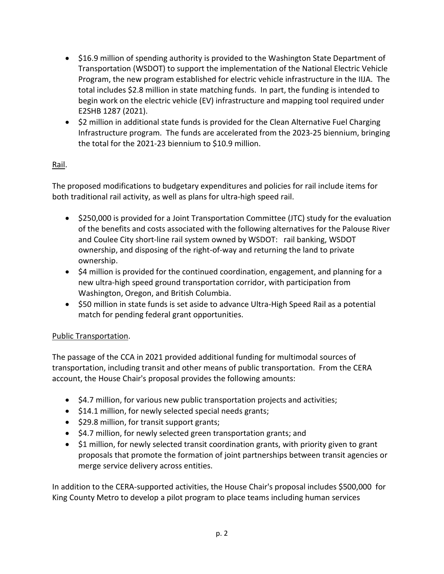- \$16.9 million of spending authority is provided to the Washington State Department of Transportation (WSDOT) to support the implementation of the National Electric Vehicle Program, the new program established for electric vehicle infrastructure in the IIJA. The total includes \$2.8 million in state matching funds. In part, the funding is intended to begin work on the electric vehicle (EV) infrastructure and mapping tool required under E2SHB 1287 (2021).
- \$2 million in additional state funds is provided for the Clean Alternative Fuel Charging Infrastructure program. The funds are accelerated from the 2023-25 biennium, bringing the total for the 2021-23 biennium to \$10.9 million.

# Rail.

The proposed modifications to budgetary expenditures and policies for rail include items for both traditional rail activity, as well as plans for ultra-high speed rail.

- \$250,000 is provided for a Joint Transportation Committee (JTC) study for the evaluation of the benefits and costs associated with the following alternatives for the Palouse River and Coulee City short-line rail system owned by WSDOT: rail banking, WSDOT ownership, and disposing of the right-of-way and returning the land to private ownership.
- \$4 million is provided for the continued coordination, engagement, and planning for a new ultra-high speed ground transportation corridor, with participation from Washington, Oregon, and British Columbia.
- \$50 million in state funds is set aside to advance Ultra-High Speed Rail as a potential match for pending federal grant opportunities.

## Public Transportation.

The passage of the CCA in 2021 provided additional funding for multimodal sources of transportation, including transit and other means of public transportation. From the CERA account, the House Chair's proposal provides the following amounts:

- \$4.7 million, for various new public transportation projects and activities;
- \$14.1 million, for newly selected special needs grants;
- \$29.8 million, for transit support grants;
- \$4.7 million, for newly selected green transportation grants; and
- \$1 million, for newly selected transit coordination grants, with priority given to grant proposals that promote the formation of joint partnerships between transit agencies or merge service delivery across entities.

In addition to the CERA-supported activities, the House Chair's proposal includes \$500,000 for King County Metro to develop a pilot program to place teams including human services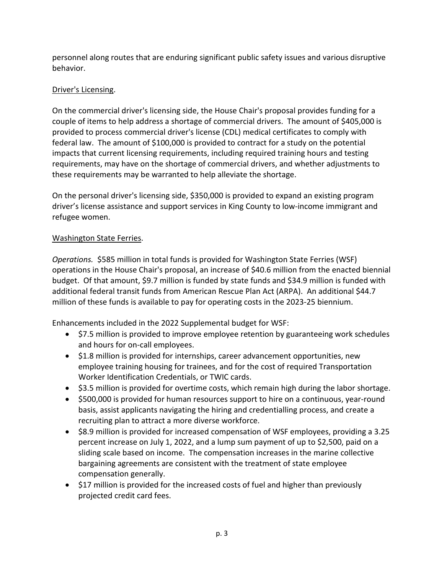personnel along routes that are enduring significant public safety issues and various disruptive behavior.

## Driver's Licensing.

On the commercial driver's licensing side, the House Chair's proposal provides funding for a couple of items to help address a shortage of commercial drivers. The amount of \$405,000 is provided to process commercial driver's license (CDL) medical certificates to comply with federal law. The amount of \$100,000 is provided to contract for a study on the potential impacts that current licensing requirements, including required training hours and testing requirements, may have on the shortage of commercial drivers, and whether adjustments to these requirements may be warranted to help alleviate the shortage.

On the personal driver's licensing side, \$350,000 is provided to expand an existing program driver's license assistance and support services in King County to low-income immigrant and refugee women.

### Washington State Ferries.

*Operations.* \$585 million in total funds is provided for Washington State Ferries (WSF) operations in the House Chair's proposal, an increase of \$40.6 million from the enacted biennial budget. Of that amount, \$9.7 million is funded by state funds and \$34.9 million is funded with additional federal transit funds from American Rescue Plan Act (ARPA). An additional \$44.7 million of these funds is available to pay for operating costs in the 2023-25 biennium.

Enhancements included in the 2022 Supplemental budget for WSF:

- \$7.5 million is provided to improve employee retention by guaranteeing work schedules and hours for on-call employees.
- \$1.8 million is provided for internships, career advancement opportunities, new employee training housing for trainees, and for the cost of required Transportation Worker Identification Credentials, or TWIC cards.
- \$3.5 million is provided for overtime costs, which remain high during the labor shortage.
- \$500,000 is provided for human resources support to hire on a continuous, year-round basis, assist applicants navigating the hiring and credentialling process, and create a recruiting plan to attract a more diverse workforce.
- \$8.9 million is provided for increased compensation of WSF employees, providing a 3.25 percent increase on July 1, 2022, and a lump sum payment of up to \$2,500, paid on a sliding scale based on income. The compensation increases in the marine collective bargaining agreements are consistent with the treatment of state employee compensation generally.
- \$17 million is provided for the increased costs of fuel and higher than previously projected credit card fees.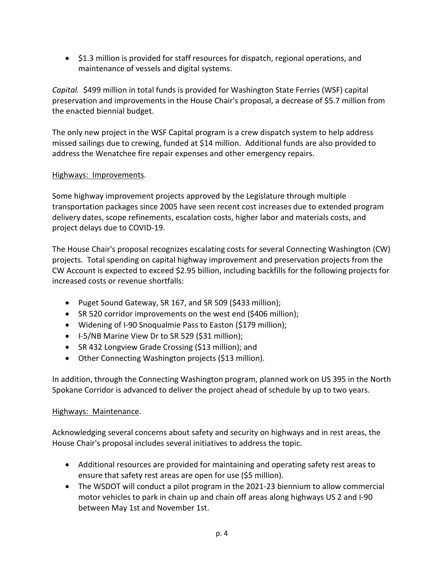• \$1.3 million is provided for staff resources for dispatch, regional operations, and maintenance of vessels and digital systems.

*Capital.* \$499 million in total funds is provided for Washington State Ferries (WSF) capital preservation and improvements in the House Chair's proposal, a decrease of \$5.7 million from the enacted biennial budget.

The only new project in the WSF Capital program is a crew dispatch system to help address missed sailings due to crewing, funded at \$14 million. Additional funds are also provided to address the Wenatchee fire repair expenses and other emergency repairs.

#### Highways: Improvements.

Some highway improvement projects approved by the Legislature through multiple transportation packages since 2005 have seen recent cost increases due to extended program delivery dates, scope refinements, escalation costs, higher labor and materials costs, and project delays due to COVID-19.

The House Chair's proposal recognizes escalating costs for several Connecting Washington (CW) projects. Total spending on capital highway improvement and preservation projects from the CW Account is expected to exceed \$2.95 billion, including backfills for the following projects for increased costs or revenue shortfalls:

- Puget Sound Gateway, SR 167, and SR 509 (\$433 million);
- SR 520 corridor improvements on the west end (\$406 million);
- Widening of I-90 Snoqualmie Pass to Easton (\$179 million);
- I-5/NB Marine View Dr to SR 529 (\$31 million);
- SR 432 Longview Grade Crossing (\$13 million); and
- Other Connecting Washington projects (\$13 million).

In addition, through the Connecting Washington program, planned work on US 395 in the North Spokane Corridor is advanced to deliver the project ahead of schedule by up to two years.

#### Highways: Maintenance.

Acknowledging several concerns about safety and security on highways and in rest areas, the House Chair's proposal includes several initiatives to address the topic.

- Additional resources are provided for maintaining and operating safety rest areas to ensure that safety rest areas are open for use (\$5 million).
- The WSDOT will conduct a pilot program in the 2021-23 biennium to allow commercial motor vehicles to park in chain up and chain off areas along highways US 2 and I-90 between May 1st and November 1st.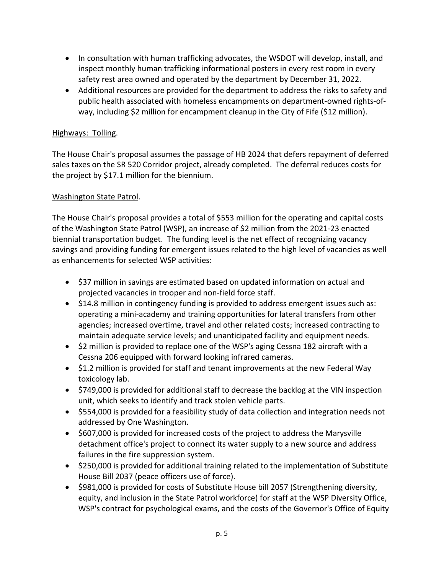- In consultation with human trafficking advocates, the WSDOT will develop, install, and inspect monthly human trafficking informational posters in every rest room in every safety rest area owned and operated by the department by December 31, 2022.
- Additional resources are provided for the department to address the risks to safety and public health associated with homeless encampments on department-owned rights-ofway, including \$2 million for encampment cleanup in the City of Fife (\$12 million).

#### Highways: Tolling.

The House Chair's proposal assumes the passage of HB 2024 that defers repayment of deferred sales taxes on the SR 520 Corridor project, already completed. The deferral reduces costs for the project by \$17.1 million for the biennium.

### Washington State Patrol.

The House Chair's proposal provides a total of \$553 million for the operating and capital costs of the Washington State Patrol (WSP), an increase of \$2 million from the 2021-23 enacted biennial transportation budget. The funding level is the net effect of recognizing vacancy savings and providing funding for emergent issues related to the high level of vacancies as well as enhancements for selected WSP activities:

- \$37 million in savings are estimated based on updated information on actual and projected vacancies in trooper and non-field force staff.
- \$14.8 million in contingency funding is provided to address emergent issues such as: operating a mini-academy and training opportunities for lateral transfers from other agencies; increased overtime, travel and other related costs; increased contracting to maintain adequate service levels; and unanticipated facility and equipment needs.
- \$2 million is provided to replace one of the WSP's aging Cessna 182 aircraft with a Cessna 206 equipped with forward looking infrared cameras.
- \$1.2 million is provided for staff and tenant improvements at the new Federal Way toxicology lab.
- \$749,000 is provided for additional staff to decrease the backlog at the VIN inspection unit, which seeks to identify and track stolen vehicle parts.
- \$554,000 is provided for a feasibility study of data collection and integration needs not addressed by One Washington.
- \$607,000 is provided for increased costs of the project to address the Marysville detachment office's project to connect its water supply to a new source and address failures in the fire suppression system.
- \$250,000 is provided for additional training related to the implementation of Substitute House Bill 2037 (peace officers use of force).
- \$981,000 is provided for costs of Substitute House bill 2057 (Strengthening diversity, equity, and inclusion in the State Patrol workforce) for staff at the WSP Diversity Office, WSP's contract for psychological exams, and the costs of the Governor's Office of Equity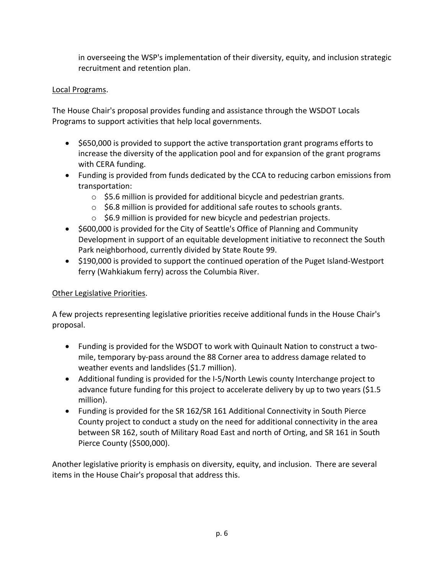in overseeing the WSP's implementation of their diversity, equity, and inclusion strategic recruitment and retention plan.

## Local Programs.

The House Chair's proposal provides funding and assistance through the WSDOT Locals Programs to support activities that help local governments.

- \$650,000 is provided to support the active transportation grant programs efforts to increase the diversity of the application pool and for expansion of the grant programs with CERA funding.
- Funding is provided from funds dedicated by the CCA to reducing carbon emissions from transportation:
	- $\circ$  \$5.6 million is provided for additional bicycle and pedestrian grants.
	- o \$6.8 million is provided for additional safe routes to schools grants.
	- $\circ$  \$6.9 million is provided for new bicycle and pedestrian projects.
- \$600,000 is provided for the City of Seattle's Office of Planning and Community Development in support of an equitable development initiative to reconnect the South Park neighborhood, currently divided by State Route 99.
- \$190,000 is provided to support the continued operation of the Puget Island-Westport ferry (Wahkiakum ferry) across the Columbia River.

## Other Legislative Priorities.

A few projects representing legislative priorities receive additional funds in the House Chair's proposal.

- Funding is provided for the WSDOT to work with Quinault Nation to construct a twomile, temporary by-pass around the 88 Corner area to address damage related to weather events and landslides (\$1.7 million).
- Additional funding is provided for the I-5/North Lewis county Interchange project to advance future funding for this project to accelerate delivery by up to two years (\$1.5 million).
- Funding is provided for the SR 162/SR 161 Additional Connectivity in South Pierce County project to conduct a study on the need for additional connectivity in the area between SR 162, south of Military Road East and north of Orting, and SR 161 in South Pierce County (\$500,000).

Another legislative priority is emphasis on diversity, equity, and inclusion. There are several items in the House Chair's proposal that address this.